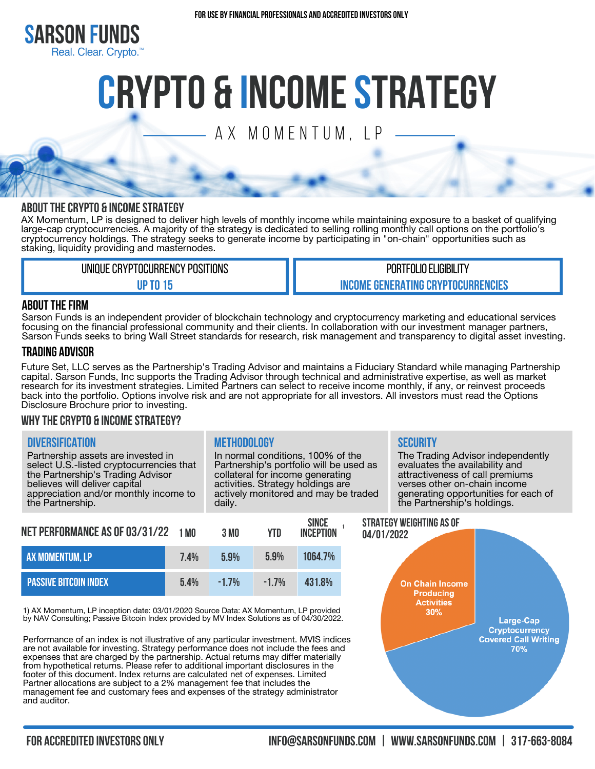

# **Crypto & INcomeSTRATEGY**

A X M O M E N T U M, L P

### **AbouttheCrypto & Incomestrategy**

AX Momentum, LP is designed to deliver high levels of monthly income while maintaining exposure to a basket of qualifying large-cap cryptocurrencies. A majority of the strategy is dedicated to selling rolling monthly call options on the portfolio's cryptocurrency holdings. The strategy seeks to generate income by participating in "on-chain" opportunities such as staking, liquidity providing and masternodes.

> UNIQUE CRYPTOCURRENCY POSITIONS **Upto15**

PORTFOLIO ELIGIBILITY **INCOME GENERATING CRYPTOCURRENCIES** 

### **ABOUT THE FIRM**

Sarson Funds is an independent provider of blockchain technology and cryptocurrency marketing and educational services focusing on the financial professional community and their clients. In collaboration with our investment manager partners, Sarson Funds seeks to bring Wall Street standards for research, risk management and transparency to digital asset investing.

### **Trading advisor**

Future Set, LLC serves as the Partnership's Trading Advisor and maintains a Fiduciary Standard while managing Partnership capital. Sarson Funds, Inc supports the Trading Advisor through technical and administrative expertise, as well as market research for its investment strategies. Limited Partners can select to receive income monthly, if any, or reinvest proceeds back into the portfolio. Options involve risk and are not appropriate for all investors. All investors must read the Options Disclosure Brochure prior to investing.

### **WhytheCrypto & Incomestrategy?**

### **Diversification Methodology Security**

Partnership assets are invested in select U.S.-listed cryptocurrencies that the Partnership's Trading Advisor believes will deliver capital appreciation and/or monthly income to the Partnership.

In normal conditions, 100% of the Partnership's portfolio will be used as collateral for income generating activities. Strategy holdings are actively monitored and may be traded daily.

The Trading Advisor independently evaluates the availability and attractiveness of call premiums verses other on-chain income generating opportunities for each of the Partnership's holdings.

| NET PERFORMANCE AS OF 03/31/22 | 1 MN | 3 MO   | YTD.   | <b>SINCE</b><br><b>INCEPTION</b> |  |
|--------------------------------|------|--------|--------|----------------------------------|--|
| <b>AX MOMENTUM. LP</b>         | 7.4% | 5.9%   | 5.9%   | 1064.7%                          |  |
| <b>PASSIVE BITCOIN INDEX</b>   | 54%  | $-17%$ | $-17%$ | 4318%                            |  |

1) AX Momentum, LP inception date: 03/01/2020 Source Data: AX Momentum, LP provided by NAV Consulting; Passive Bitcoin Index provided by MV Index Solutions as of 04/30/2022.

Performance of an index is not illustrative of any particular investment. MVIS indices are not available for investing. Strategy performance does not include the fees and expenses that are charged by the partnership. Actual returns may differ materially from hypothetical returns. Please refer to additional important disclosures in the footer of this document. Index returns are calculated net of expenses. Limited Partner allocations are subject to a 2% management fee that includes the management fee and customary fees and expenses of the strategy administrator and auditor.